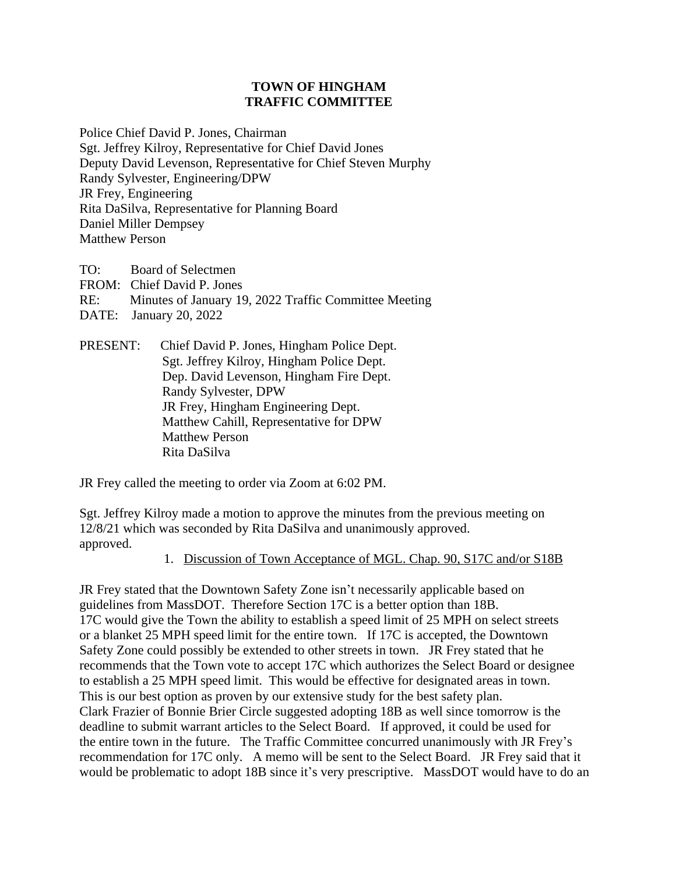## **TOWN OF HINGHAM TRAFFIC COMMITTEE**

Police Chief David P. Jones, Chairman Sgt. Jeffrey Kilroy, Representative for Chief David Jones Deputy David Levenson, Representative for Chief Steven Murphy Randy Sylvester, Engineering/DPW JR Frey, Engineering Rita DaSilva, Representative for Planning Board Daniel Miller Dempsey Matthew Person

TO: Board of Selectmen FROM: Chief David P. Jones RE: Minutes of January 19, 2022 Traffic Committee Meeting DATE: January 20, 2022

PRESENT: Chief David P. Jones, Hingham Police Dept. Sgt. Jeffrey Kilroy, Hingham Police Dept. Dep. David Levenson, Hingham Fire Dept. Randy Sylvester, DPW JR Frey, Hingham Engineering Dept. Matthew Cahill, Representative for DPW Matthew Person Rita DaSilva

JR Frey called the meeting to order via Zoom at 6:02 PM.

Sgt. Jeffrey Kilroy made a motion to approve the minutes from the previous meeting on 12/8/21 which was seconded by Rita DaSilva and unanimously approved. approved.

1. Discussion of Town Acceptance of MGL. Chap. 90, S17C and/or S18B

JR Frey stated that the Downtown Safety Zone isn't necessarily applicable based on guidelines from MassDOT. Therefore Section 17C is a better option than 18B. 17C would give the Town the ability to establish a speed limit of 25 MPH on select streets or a blanket 25 MPH speed limit for the entire town. If 17C is accepted, the Downtown Safety Zone could possibly be extended to other streets in town. JR Frey stated that he recommends that the Town vote to accept 17C which authorizes the Select Board or designee to establish a 25 MPH speed limit. This would be effective for designated areas in town. This is our best option as proven by our extensive study for the best safety plan. Clark Frazier of Bonnie Brier Circle suggested adopting 18B as well since tomorrow is the deadline to submit warrant articles to the Select Board. If approved, it could be used for the entire town in the future. The Traffic Committee concurred unanimously with JR Frey's recommendation for 17C only. A memo will be sent to the Select Board. JR Frey said that it would be problematic to adopt 18B since it's very prescriptive. MassDOT would have to do an